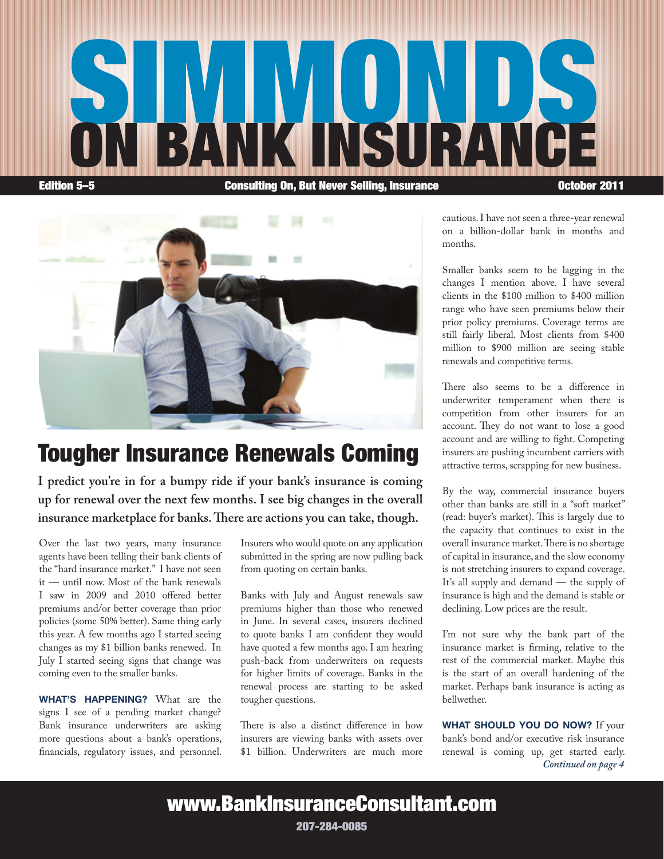



## Tougher Insurance Renewals Coming

**I predict you're in for a bumpy ride if your bank's insurance is coming up for renewal over the next few months. I see big changes in the overall insurance marketplace for banks. There are actions you can take, though.**

Over the last two years, many insurance agents have been telling their bank clients of the "hard insurance market." I have not seen it — until now. Most of the bank renewals I saw in 2009 and 2010 offered better premiums and/or better coverage than prior policies (some 50% better). Same thing early this year. A few months ago I started seeing changes as my \$1 billion banks renewed. In July I started seeing signs that change was coming even to the smaller banks.

WHAT'S HAPPENING? What are the signs I see of a pending market change? Bank insurance underwriters are asking more questions about a bank's operations, financials, regulatory issues, and personnel.

Insurers who would quote on any application submitted in the spring are now pulling back from quoting on certain banks.

Banks with July and August renewals saw premiums higher than those who renewed in June. In several cases, insurers declined to quote banks I am confident they would have quoted a few months ago. I am hearing push-back from underwriters on requests for higher limits of coverage. Banks in the renewal process are starting to be asked tougher questions.

There is also a distinct difference in how insurers are viewing banks with assets over \$1 billion. Underwriters are much more cautious. I have not seen a three-year renewal on a billion-dollar bank in months and months.

Smaller banks seem to be lagging in the changes I mention above. I have several clients in the \$100 million to \$400 million range who have seen premiums below their prior policy premiums. Coverage terms are still fairly liberal. Most clients from \$400 million to \$900 million are seeing stable renewals and competitive terms.

There also seems to be a difference in underwriter temperament when there is competition from other insurers for an account. They do not want to lose a good account and are willing to fight. Competing insurers are pushing incumbent carriers with attractive terms, scrapping for new business.

By the way, commercial insurance buyers other than banks are still in a "soft market" (read: buyer's market). This is largely due to the capacity that continues to exist in the overall insurance market. There is no shortage of capital in insurance, and the slow economy is not stretching insurers to expand coverage. It's all supply and demand — the supply of insurance is high and the demand is stable or declining. Low prices are the result.

I'm not sure why the bank part of the insurance market is firming, relative to the rest of the commercial market. Maybe this is the start of an overall hardening of the market. Perhaps bank insurance is acting as bellwether.

WHAT SHOULD YOU DO NOW? If your bank's bond and/or executive risk insurance renewal is coming up, get started early. *Continued on page 4*

www.BankInsuranceConsultant.com

207-284-0085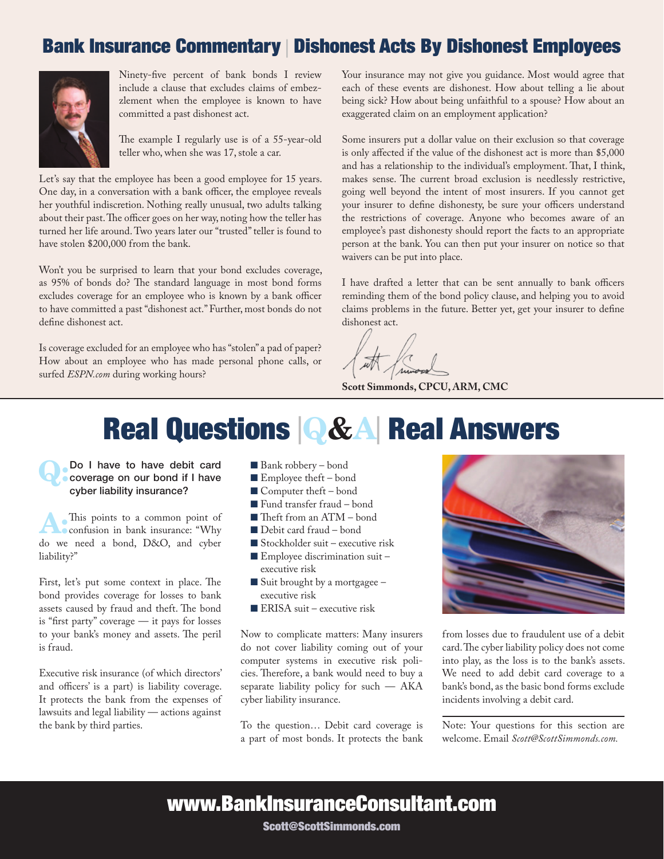## Bank Insurance Commentary | Dishonest Acts By Dishonest Employees



Ninety-five percent of bank bonds I review include a clause that excludes claims of embezzlement when the employee is known to have committed a past dishonest act.

The example I regularly use is of a 55-year-old teller who, when she was 17, stole a car.

Let's say that the employee has been a good employee for 15 years. One day, in a conversation with a bank officer, the employee reveals her youthful indiscretion. Nothing really unusual, two adults talking about their past. The officer goes on her way, noting how the teller has turned her life around. Two years later our "trusted" teller is found to have stolen \$200,000 from the bank.

Won't you be surprised to learn that your bond excludes coverage, as 95% of bonds do? The standard language in most bond forms excludes coverage for an employee who is known by a bank officer to have committed a past "dishonest act." Further, most bonds do not define dishonest act.

Is coverage excluded for an employee who has "stolen" a pad of paper? How about an employee who has made personal phone calls, or surfed *ESPN.com* during working hours?

Your insurance may not give you guidance. Most would agree that each of these events are dishonest. How about telling a lie about being sick? How about being unfaithful to a spouse? How about an exaggerated claim on an employment application?

Some insurers put a dollar value on their exclusion so that coverage is only affected if the value of the dishonest act is more than \$5,000 and has a relationship to the individual's employment. That, I think, makes sense. The current broad exclusion is needlessly restrictive, going well beyond the intent of most insurers. If you cannot get your insurer to define dishonesty, be sure your officers understand the restrictions of coverage. Anyone who becomes aware of an employee's past dishonesty should report the facts to an appropriate person at the bank. You can then put your insurer on notice so that waivers can be put into place.

I have drafted a letter that can be sent annually to bank officers reminding them of the bond policy clause, and helping you to avoid claims problems in the future. Better yet, get your insurer to define dishonest act.

**Scott Simmonds, CPCU, ARM, CMC**

# Real Questions <sup>|</sup>Q&A| Real Answers

Do I have to have debit card coverage on our bond if I have cyber liability insurance?

A:This points to a common point of confusion in bank insurance: "Why do we need a bond, D&O, and cyber liability?"

First, let's put some context in place. The bond provides coverage for losses to bank assets caused by fraud and theft. The bond is "first party" coverage — it pays for losses to your bank's money and assets. The peril is fraud.

Executive risk insurance (of which directors' and officers' is a part) is liability coverage. It protects the bank from the expenses of lawsuits and legal liability — actions against the bank by third parties.

- Bank robbery bond
- $\blacksquare$  Employee theft bond
- $\blacksquare$  Computer theft bond
- Fund transfer fraud bond
- $\blacksquare$  Theft from an ATM bond
- Debit card fraud bond
- $\blacksquare$  Stockholder suit executive risk
- $\blacksquare$  Employee discrimination suit executive risk
- $\blacksquare$  Suit brought by a mortgagee executive risk
- ERISA suit executive risk

Now to complicate matters: Many insurers do not cover liability coming out of your computer systems in executive risk policies. Therefore, a bank would need to buy a separate liability policy for such — AKA cyber liability insurance.

To the question… Debit card coverage is a part of most bonds. It protects the bank



from losses due to fraudulent use of a debit card. The cyber liability policy does not come into play, as the loss is to the bank's assets. We need to add debit card coverage to a bank's bond, as the basic bond forms exclude incidents involving a debit card.

Note: Your questions for this section are welcome. Email *Scott@ScottSimmonds.com.* 

www.BankInsuranceConsultant.com

Scott@ScottSimmonds.com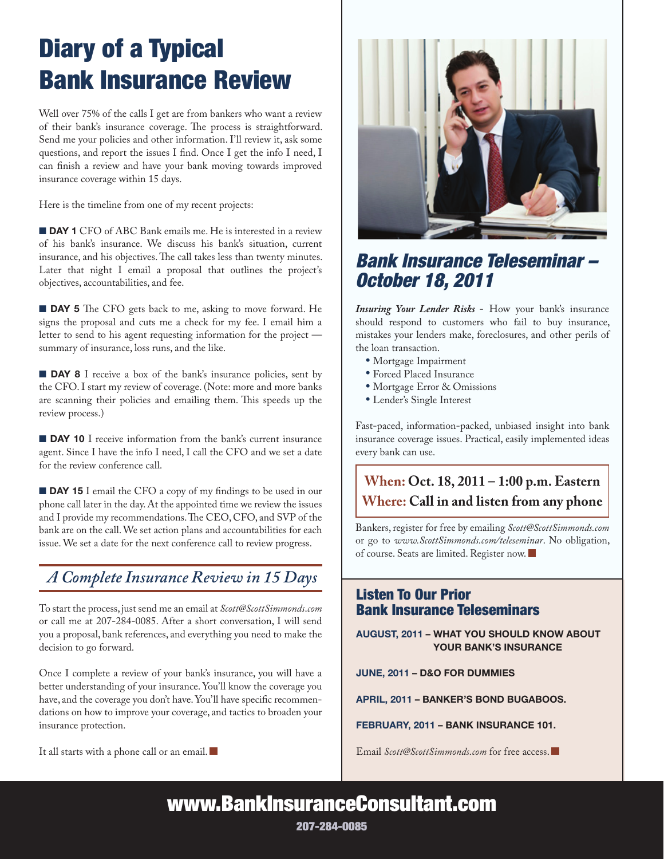# Diary of a Typical Bank Insurance Review

Well over 75% of the calls I get are from bankers who want a review of their bank's insurance coverage. The process is straightforward. Send me your policies and other information. I'll review it, ask some questions, and report the issues I find. Once I get the info I need, I can finish a review and have your bank moving towards improved insurance coverage within 15 days.

Here is the timeline from one of my recent projects:

**DAY 1** CFO of ABC Bank emails me. He is interested in a review of his bank's insurance. We discuss his bank's situation, current insurance, and his objectives. The call takes less than twenty minutes. Later that night I email a proposal that outlines the project's objectives, accountabilities, and fee.

**DAY 5** The CFO gets back to me, asking to move forward. He signs the proposal and cuts me a check for my fee. I email him a letter to send to his agent requesting information for the project summary of insurance, loss runs, and the like.

**DAY 8** I receive a box of the bank's insurance policies, sent by the CFO. I start my review of coverage. (Note: more and more banks are scanning their policies and emailing them. This speeds up the review process.)

**DAY 10** I receive information from the bank's current insurance agent. Since I have the info I need, I call the CFO and we set a date for the review conference call.

**DAY 15** I email the CFO a copy of my findings to be used in our phone call later in the day. At the appointed time we review the issues and I provide my recommendations. The CEO, CFO, and SVP of the bank are on the call. We set action plans and accountabilities for each issue. We set a date for the next conference call to review progress.

### *A Complete Insurance Review in 15 Days*

To start the process, just send me an email at *Scott@ScottSimmonds*.*com* or call me at 207-284-0085. After a short conversation, I will send you a proposal, bank references, and everything you need to make the decision to go forward.

Once I complete a review of your bank's insurance, you will have a better understanding of your insurance. You'll know the coverage you have, and the coverage you don't have. You'll have specific recommendations on how to improve your coverage, and tactics to broaden your insurance protection.

It all starts with a phone call or an email.



## *Bank Insurance Teleseminar – October 18, 2011*

*Insuring Your Lender Risks* - How your bank's insurance should respond to customers who fail to buy insurance, mistakes your lenders make, foreclosures, and other perils of the loan transaction.

- Mortgage Impairment
- Forced Placed Insurance
- Mortgage Error & Omissions
- Lender's Single Interest

Fast-paced, information-packed, unbiased insight into bank insurance coverage issues. Practical, easily implemented ideas every bank can use.

## **When: Oct. 18, 2011 – 1:00 p.m. Eastern Where: Call in and listen from any phone**

Bankers, register for free by emailing *Scott@ScottSimmonds.com* or go to *www.ScottSimmonds.com/teleseminar*. No obligation, of course. Seats are limited. Register now.

### Listen To Our Prior Bank Insurance Teleseminars

August, 2011 – What You Should Know About YOUR BANK'S INSURANCE

June, 2011 – D&O for Dummies

April, 2011 – Banker's Bond Bugaboos.

February, 2011 – Bank Insurance 101.

Email *Scott@ScottSimmonds.com* for free access.

www.BankInsuranceConsultant.com

207-284-0085